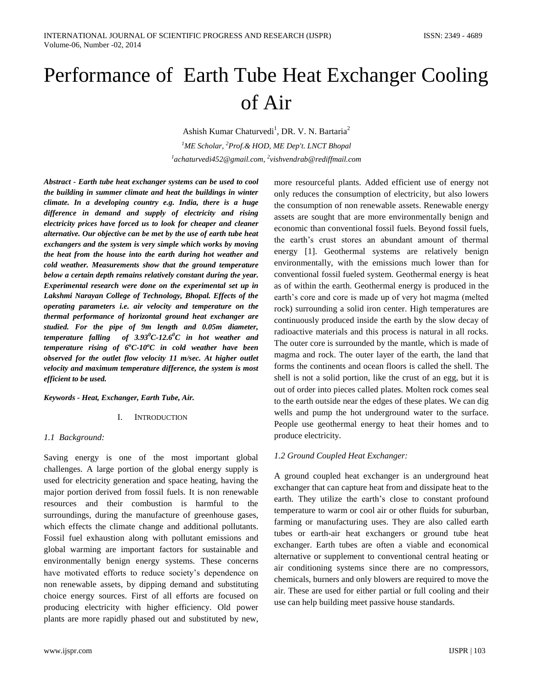# Performance of Earth Tube Heat Exchanger Cooling of Air

Ashish Kumar Chaturvedi<sup>1</sup>, DR. V. N. Bartaria<sup>2</sup> *<sup>1</sup>ME Scholar, <sup>2</sup>Prof.& HOD, ME Dep't. LNCT Bhopal 1 achaturvedi452@gmail.com, 2 vishvendrab@rediffmail.com*

*Abstract - Earth tube heat exchanger systems can be used to cool the building in summer climate and heat the buildings in winter climate. In a developing country e.g. India, there is a huge difference in demand and supply of electricity and rising electricity prices have forced us to look for cheaper and cleaner alternative. Our objective can be met by the use of earth tube heat exchangers and the system is very simple which works by moving the heat from the house into the earth during hot weather and cold weather. Measurements show that the ground temperature below a certain depth remains relatively constant during the year. Experimental research were done on the experimental set up in Lakshmi Narayan College of Technology, Bhopal. Effects of the operating parameters i.e. air velocity and temperature on the thermal performance of horizontal ground heat exchanger are studied. For the pipe of 9m length and 0.05m diameter, temperature falling of 3.93<sup>0</sup>C-12.6<sup>0</sup>C in hot weather and temperature rising of 6<sup>o</sup>C-10<sup>o</sup>C in cold weather have been observed for the outlet flow velocity 11 m/sec. At higher outlet velocity and maximum temperature difference, the system is most efficient to be used.* 

#### *Keywords - Heat, Exchanger, Earth Tube, Air.*

#### I. INTRODUCTION

## *1.1 Background:*

Saving energy is one of the most important global challenges. A large portion of the global energy supply is used for electricity generation and space heating, having the major portion derived from fossil fuels. It is non renewable resources and their combustion is harmful to the surroundings, during the manufacture of greenhouse gases, which effects the climate change and additional pollutants. Fossil fuel exhaustion along with pollutant emissions and global warming are important factors for sustainable and environmentally benign energy systems. These concerns have motivated efforts to reduce society's dependence on non renewable assets, by dipping demand and substituting choice energy sources. First of all efforts are focused on producing electricity with higher efficiency. Old power plants are more rapidly phased out and substituted by new,

more resourceful plants. Added efficient use of energy not only reduces the consumption of electricity, but also lowers the consumption of non renewable assets. Renewable energy assets are sought that are more environmentally benign and economic than conventional fossil fuels. Beyond fossil fuels, the earth's crust stores an abundant amount of thermal energy [1]. Geothermal systems are relatively benign environmentally, with the emissions much lower than for conventional fossil fueled system. Geothermal energy is heat as of within the earth. Geothermal energy is produced in the earth's core and core is made up of very hot magma (melted rock) surrounding a solid iron center. High temperatures are continuously produced inside the earth by the slow decay of radioactive materials and this process is natural in all rocks. The outer core is surrounded by the mantle, which is made of magma and rock. The outer layer of the earth, the land that forms the continents and ocean floors is called the shell. The shell is not a solid portion, like the crust of an egg, but it is out of order into pieces called plates. Molten rock comes seal to the earth outside near the edges of these plates. We can dig wells and pump the hot underground water to the surface. People use geothermal energy to heat their homes and to produce electricity.

## *1.2 Ground Coupled Heat Exchanger:*

A ground coupled heat exchanger is an underground heat exchanger that can capture heat from and dissipate heat to the earth. They utilize the earth's close to constant profound temperature to warm or cool air or other fluids for suburban, farming or manufacturing uses. They are also called earth tubes or earth-air heat exchangers or ground tube heat exchanger. Earth tubes are often a viable and economical alternative or supplement to conventional central heating or air conditioning systems since there are no compressors, chemicals, burners and only blowers are required to move the air. These are used for either partial or full cooling and their use can help building meet passive house standards.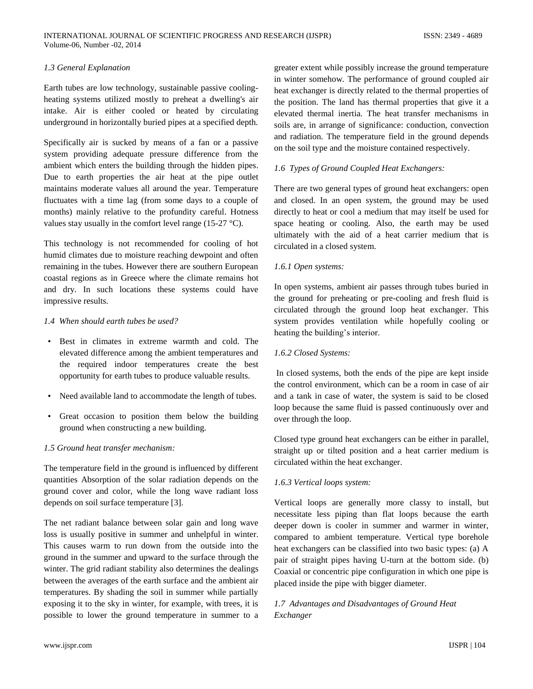## *1.3 General Explanation*

Earth tubes are low technology, sustainable passive coolingheating systems utilized mostly to preheat a dwelling's air intake. Air is either cooled or heated by circulating underground in horizontally buried pipes at a specified depth.

Specifically air is sucked by means of a fan or a passive system providing adequate pressure difference from the ambient which enters the building through the hidden pipes. Due to earth properties the air heat at the pipe outlet maintains moderate values all around the year. Temperature fluctuates with a time lag (from some days to a couple of months) mainly relative to the profundity careful. Hotness values stay usually in the comfort level range (15-27 °C).

This technology is not recommended for cooling of hot humid climates due to moisture reaching dewpoint and often remaining in the tubes. However there are southern European coastal regions as in Greece where the climate remains hot and dry. In such locations these systems could have impressive results.

## *1.4 When should earth tubes be used?*

- Best in climates in extreme warmth and cold. The elevated difference among the ambient temperatures and the required indoor temperatures create the best opportunity for earth tubes to produce valuable results.
- Need available land to accommodate the length of tubes.
- Great occasion to position them below the building ground when constructing a new building.

## *1.5 Ground heat transfer mechanism:*

The temperature field in the ground is influenced by different quantities Absorption of the solar radiation depends on the ground cover and color, while the long wave radiant loss depends on soil surface temperature [3].

The net radiant balance between solar gain and long wave loss is usually positive in summer and unhelpful in winter. This causes warm to run down from the outside into the ground in the summer and upward to the surface through the winter. The grid radiant stability also determines the dealings between the averages of the earth surface and the ambient air temperatures. By shading the soil in summer while partially exposing it to the sky in winter, for example, with trees, it is possible to lower the ground temperature in summer to a

greater extent while possibly increase the ground temperature in winter somehow. The performance of ground coupled air heat exchanger is directly related to the thermal properties of the position. The land has thermal properties that give it a elevated thermal inertia. The heat transfer mechanisms in soils are, in arrange of significance: conduction, convection and radiation. The temperature field in the ground depends on the soil type and the moisture contained respectively.

## *1.6 Types of Ground Coupled Heat Exchangers:*

There are two general types of ground heat exchangers: open and closed. In an open system, the ground may be used directly to heat or cool a medium that may itself be used for space heating or cooling. Also, the earth may be used ultimately with the aid of a heat carrier medium that is circulated in a closed system.

## *1.6.1 Open systems:*

In open systems, ambient air passes through tubes buried in the ground for preheating or pre-cooling and fresh fluid is circulated through the ground loop heat exchanger. This system provides ventilation while hopefully cooling or heating the building's interior.

## *1.6.2 Closed Systems:*

In closed systems, both the ends of the pipe are kept inside the control environment, which can be a room in case of air and a tank in case of water, the system is said to be closed loop because the same fluid is passed continuously over and over through the loop.

Closed type ground heat exchangers can be either in parallel, straight up or tilted position and a heat carrier medium is circulated within the heat exchanger.

# *1.6.3 Vertical loops system:*

Vertical loops are generally more classy to install, but necessitate less piping than flat loops because the earth deeper down is cooler in summer and warmer in winter, compared to ambient temperature. Vertical type borehole heat exchangers can be classified into two basic types: (a) A pair of straight pipes having U-turn at the bottom side. (b) Coaxial or concentric pipe configuration in which one pipe is placed inside the pipe with bigger diameter.

# *1.7 Advantages and Disadvantages of Ground Heat Exchanger*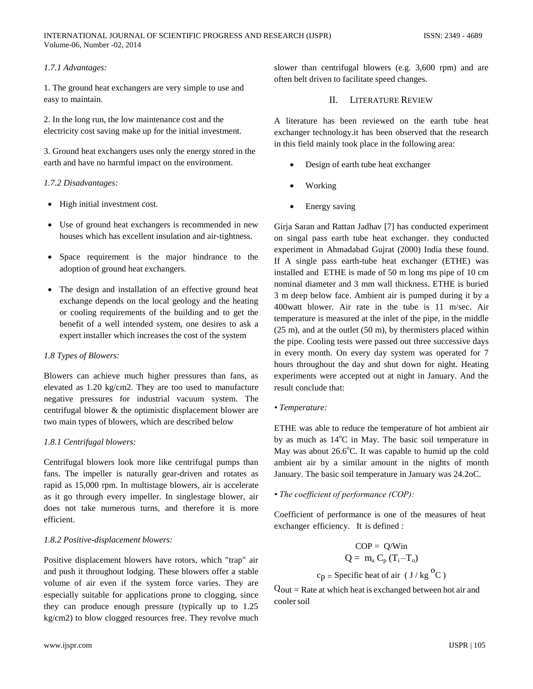## *1.7.1 Advantages:*

1. The ground heat exchangers are very simple to use and easy to maintain.

2. In the long run, the low maintenance cost and the electricity cost saving make up for the initial investment.

3. Ground heat exchangers uses only the energy stored in the earth and have no harmful impact on the environment.

## *1.7.2 Disadvantages:*

- High initial investment cost.
- Use of ground heat exchangers is recommended in new houses which has excellent insulation and air-tightness.
- Space requirement is the major hindrance to the adoption of ground heat exchangers.
- The design and installation of an effective ground heat exchange depends on the local geology and the heating or cooling requirements of the building and to get the benefit of a well intended system, one desires to ask a expert installer which increases the cost of the system

## *1.8 Types of Blowers:*

Blowers can achieve much higher pressures than fans, as elevated as 1.20 kg/cm2. They are too used to manufacture negative pressures for industrial vacuum system. The centrifugal blower & the optimistic displacement blower are two main types of blowers, which are described below

## *1.8.1 Centrifugal blowers:*

Centrifugal blowers look more like centrifugal pumps than fans. The impeller is naturally gear-driven and rotates as rapid as 15,000 rpm. In multistage blowers, air is accelerate as it go through every impeller. In singlestage blower, air does not take numerous turns, and therefore it is more efficient.

## *1.8.2 Positive-displacement blowers:*

Positive displacement blowers have rotors, which "trap" air and push it throughout lodging. These blowers offer a stable volume of air even if the system force varies. They are especially suitable for applications prone to clogging, since they can produce enough pressure (typically up to 1.25 kg/cm2) to blow clogged resources free. They revolve much slower than centrifugal blowers (e.g. 3,600 rpm) and are often belt driven to facilitate speed changes.

# II. LITERATURE REVIEW

A literature has been reviewed on the earth tube heat exchanger technology.it has been observed that the research in this field mainly took place in the following area:

- Design of earth tube heat exchanger
- Working
- Energy saving

Girja Saran and Rattan Jadhav [7] has conducted experiment on singal pass earth tube heat exchanger. they conducted experiment in Ahmadabad Gujrat (2000) India these found. If A single pass earth-tube heat exchanger (ETHE) was installed and ETHE is made of 50 m long ms pipe of 10 cm nominal diameter and 3 mm wall thickness. ETHE is buried 3 m deep below face. Ambient air is pumped during it by a 400watt blower. Air rate in the tube is 11 m/sec. Air temperature is measured at the inlet of the pipe, in the middle (25 m), and at the outlet (50 m), by thermisters placed within the pipe. Cooling tests were passed out three successive days in every month. On every day system was operated for 7 hours throughout the day and shut down for night. Heating experiments were accepted out at night in January. And the result conclude that:

*• Temperature:*

ETHE was able to reduce the temperature of hot ambient air by as much as  $14^{\circ}$ C in May. The basic soil temperature in May was about  $26.6^{\circ}$ C. It was capable to humid up the cold ambient air by a similar amount in the nights of month January. The basic soil temperature in January was 24.2oC.

*• The coefficient of performance (COP):*

Coefficient of performance is one of the measures of heat exchanger efficiency. It is defined :

$$
COP = Q/Win
$$
  
Q = m<sub>a</sub> C<sub>p</sub> (T<sub>i</sub>-T<sub>o</sub>)  
c<sub>p</sub> = Specific heat of air (J/kg<sup>o</sup>C)

 $Q_{\text{out}}$  = Rate at which heat is exchanged between hot air and coolersoil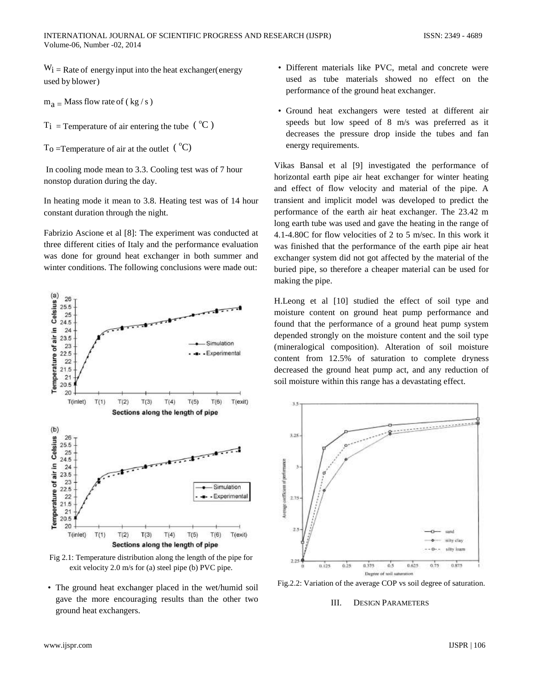$W_i$  = Rate of energy input into the heat exchanger (energy used by blower)

 $m_a$  = Mass flow rate of (kg/s)

 $T_i$  = Temperature of air entering the tube  $({}^{o}C)$ 

 $T_0$  =Temperature of air at the outlet  $({}^{\circ}C)$ 

In cooling mode mean to 3.3. Cooling test was of 7 hour nonstop duration during the day.

In heating mode it mean to 3.8. Heating test was of 14 hour constant duration through the night.

Fabrizio Ascione et al [8]: The experiment was conducted at three different cities of Italy and the performance evaluation was done for ground heat exchanger in both summer and winter conditions. The following conclusions were made out:



Fig 2.1: Temperature distribution along the length of the pipe for exit velocity 2.0 m/s for (a) steel pipe (b) PVC pipe.

• The ground heat exchanger placed in the wet/humid soil gave the more encouraging results than the other two ground heat exchangers.

- Different materials like PVC, metal and concrete were used as tube materials showed no effect on the performance of the ground heat exchanger.
- Ground heat exchangers were tested at different air speeds but low speed of 8 m/s was preferred as it decreases the pressure drop inside the tubes and fan energy requirements.

Vikas Bansal et al [9] investigated the performance of horizontal earth pipe air heat exchanger for winter heating and effect of flow velocity and material of the pipe. A transient and implicit model was developed to predict the performance of the earth air heat exchanger. The 23.42 m long earth tube was used and gave the heating in the range of 4.1-4.80C for flow velocities of 2 to 5 m/sec. In this work it was finished that the performance of the earth pipe air heat exchanger system did not got affected by the material of the buried pipe, so therefore a cheaper material can be used for making the pipe.

H.Leong et al [10] studied the effect of soil type and moisture content on ground heat pump performance and found that the performance of a ground heat pump system depended strongly on the moisture content and the soil type (mineralogical composition). Alteration of soil moisture content from 12.5% of saturation to complete dryness decreased the ground heat pump act, and any reduction of soil moisture within this range has a devastating effect.



Fig.2.2: Variation of the average COP vs soil degree of saturation.

## III. DESIGN PARAMETERS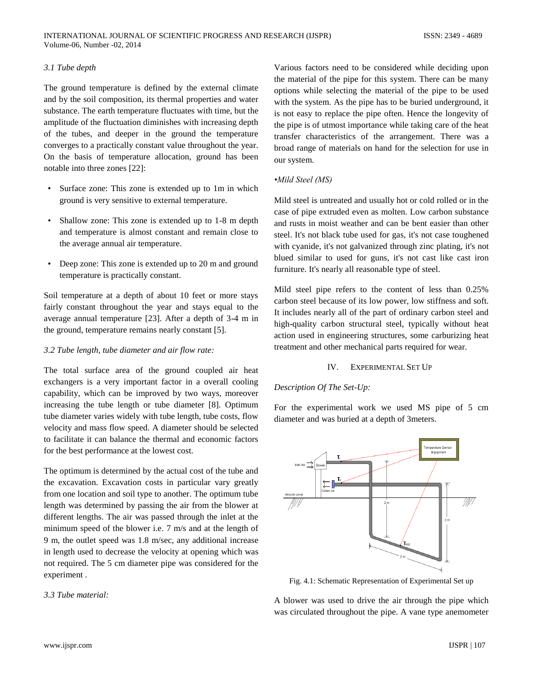## *3.1 Tube depth*

The ground temperature is defined by the external climate and by the soil composition, its thermal properties and water substance. The earth temperature fluctuates with time, but the amplitude of the fluctuation diminishes with increasing depth of the tubes, and deeper in the ground the temperature converges to a practically constant value throughout the year. On the basis of temperature allocation, ground has been notable into three zones [22]:

- Surface zone: This zone is extended up to 1m in which ground is very sensitive to external temperature.
- Shallow zone: This zone is extended up to 1-8 m depth and temperature is almost constant and remain close to the average annual air temperature.
- Deep zone: This zone is extended up to 20 m and ground temperature is practically constant.

Soil temperature at a depth of about 10 feet or more stays fairly constant throughout the year and stays equal to the average annual temperature [23]. After a depth of 3-4 m in the ground, temperature remains nearly constant [5].

## *3.2 Tube length, tube diameter and air flow rate:*

The total surface area of the ground coupled air heat exchangers is a very important factor in a overall cooling capability, which can be improved by two ways, moreover increasing the tube length or tube diameter [8]. Optimum tube diameter varies widely with tube length, tube costs, flow velocity and mass flow speed. A diameter should be selected to facilitate it can balance the thermal and economic factors for the best performance at the lowest cost.

The optimum is determined by the actual cost of the tube and the excavation. Excavation costs in particular vary greatly from one location and soil type to another. The optimum tube length was determined by passing the air from the blower at different lengths. The air was passed through the inlet at the minimum speed of the blower i.e. 7 m/s and at the length of 9 m, the outlet speed was 1.8 m/sec, any additional increase in length used to decrease the velocity at opening which was not required. The 5 cm diameter pipe was considered for the experiment .

## *3.3 Tube material:*

Various factors need to be considered while deciding upon the material of the pipe for this system. There can be many options while selecting the material of the pipe to be used with the system. As the pipe has to be buried underground, it is not easy to replace the pipe often. Hence the longevity of the pipe is of utmost importance while taking care of the heat transfer characteristics of the arrangement. There was a broad range of materials on hand for the selection for use in our system.

## *•Mild Steel (MS)*

Mild steel is untreated and usually hot or cold rolled or in the case of pipe extruded even as molten. Low carbon substance and rusts in moist weather and can be bent easier than other steel. It's not black tube used for gas, it's not case toughened with cyanide, it's not galvanized through zinc plating, it's not blued similar to used for guns, it's not cast like cast iron furniture. It's nearly all reasonable type of steel.

Mild steel pipe refers to the content of less than 0.25% carbon steel because of its low power, low stiffness and soft. It includes nearly all of the part of ordinary carbon steel and high-quality carbon structural steel, typically without heat action used in engineering structures, some carburizing heat treatment and other mechanical parts required for wear.

## IV. EXPERIMENTAL SET UP

# *Description Of The Set-Up:*

For the experimental work we used MS pipe of 5 cm diameter and was buried at a depth of 3meters.



Fig. 4.1: Schematic Representation of Experimental Set up

A blower was used to drive the air through the pipe which was circulated throughout the pipe. A vane type anemometer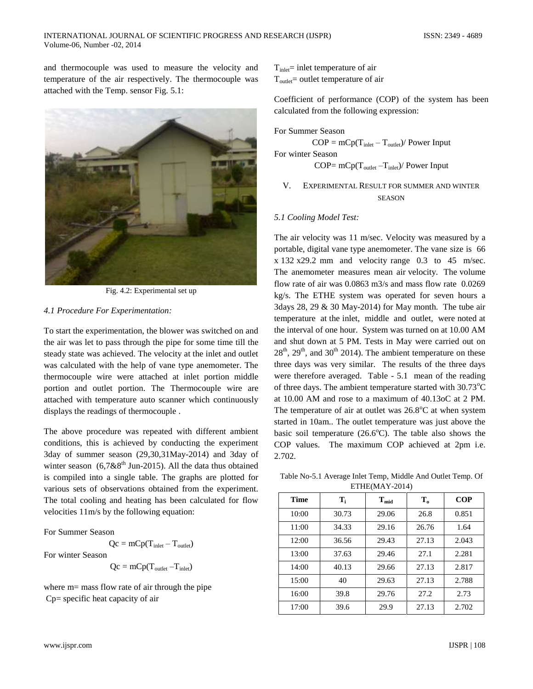and thermocouple was used to measure the velocity and temperature of the air respectively. The thermocouple was attached with the Temp. sensor Fig. 5.1:



Fig. 4.2: Experimental set up

## *4.1 Procedure For Experimentation:*

To start the experimentation, the blower was switched on and the air was let to pass through the pipe for some time till the steady state was achieved. The velocity at the inlet and outlet was calculated with the help of vane type anemometer. The thermocouple wire were attached at inlet portion middle portion and outlet portion. The Thermocouple wire are attached with temperature auto scanner which continuously displays the readings of thermocouple .

The above procedure was repeated with different ambient conditions, this is achieved by conducting the experiment 3day of summer season (29,30,31May-2014) and 3day of winter season  $(6.7 & 8^{th}$  Jun-2015). All the data thus obtained is compiled into a single table. The graphs are plotted for various sets of observations obtained from the experiment. The total cooling and heating has been calculated for flow velocities 11m/s by the following equation:

## For Summer Season

 $Qc = mCp(T_{\text{inlet}} - T_{\text{outlet}})$ For winter Season  $Qc = mCp(T_{\text{outlet}} - T_{\text{inlet}})$ 

where  $m=$  mass flow rate of air through the pipe Cp= specific heat capacity of air

 $T_{\text{inlet}}$  inlet temperature of air  $T_{\text{outlet}}$  = outlet temperature of air

Coefficient of performance (COP) of the system has been calculated from the following expression:

For Summer Season

 $COP = mCp(T_{\text{inlet}} - T_{\text{outlet}})/$  Power Input

For winter Season

COP=  $mCp(T_{\text{outlet}} - T_{\text{inlet}})/$  Power Input

V. EXPERIMENTAL RESULT FOR SUMMER AND WINTER SEASON

## *5.1 Cooling Model Test:*

The air velocity was 11 m/sec. Velocity was measured by a portable, digital vane type anemometer. The vane size is 66 x 132 x29.2 mm and velocity range 0.3 to 45 m/sec. The anemometer measures mean air velocity. The volume flow rate of air was 0.0863 m3/s and mass flow rate 0.0269 kg/s. The ETHE system was operated for seven hours a 3days 28, 29 & 30 May-2014) for May month. The tube air temperature at the inlet, middle and outlet, were noted at the interval of one hour. System was turned on at 10.00 AM and shut down at 5 PM. Tests in May were carried out on  $28<sup>th</sup>$ ,  $29<sup>th</sup>$ , and  $30<sup>th</sup>$  2014). The ambient temperature on these three days was very similar. The results of the three days were therefore averaged. Table - 5.1 mean of the reading of three days. The ambient temperature started with  $30.73^{\circ}$ C at 10.00 AM and rose to a maximum of 40.13oC at 2 PM. The temperature of air at outlet was  $26.8^{\circ}$ C at when system started in 10am.. The outlet temperature was just above the basic soil temperature  $(26.6^{\circ}C)$ . The table also shows the COP values. The maximum COP achieved at 2pm i.e. 2.702.

Table No-5.1 Average Inlet Temp, Middle And Outlet Temp. Of ETHE(MAY-2014)

| <b>Time</b> | T,    | $T_{mid}$ | $\mathbf{T_{0}}$ | <b>COP</b> |
|-------------|-------|-----------|------------------|------------|
| 10:00       | 30.73 | 29.06     | 26.8             | 0.851      |
| 11:00       | 34.33 | 29.16     | 26.76            | 1.64       |
| 12:00       | 36.56 | 29.43     | 27.13            | 2.043      |
| 13:00       | 37.63 | 29.46     | 27.1             | 2.281      |
| 14:00       | 40.13 | 29.66     | 27.13            | 2.817      |
| 15:00       | 40    | 29.63     | 27.13            | 2.788      |
| 16:00       | 39.8  | 29.76     | 27.2             | 2.73       |
| 17:00       | 39.6  | 29.9      | 27.13            | 2.702      |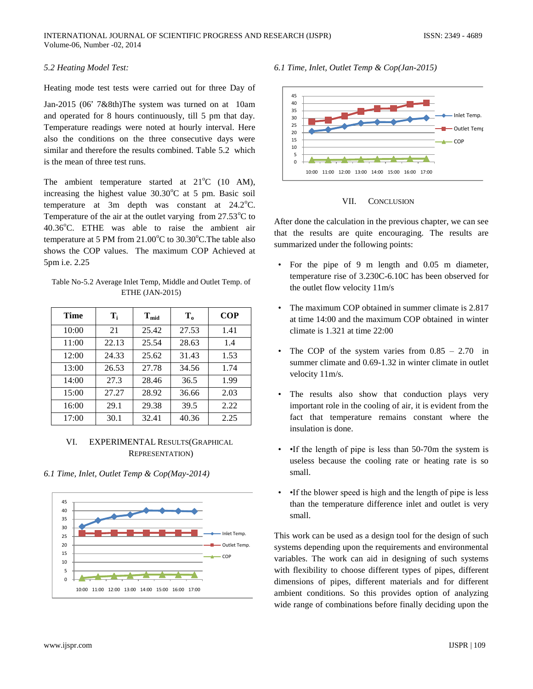## *5.2 Heating Model Test:*

Heating mode test tests were carried out for three Day of

Jan-2015 (06' 7&8th)The system was turned on at 10am and operated for 8 hours continuously, till 5 pm that day. Temperature readings were noted at hourly interval. Here also the conditions on the three consecutive days were similar and therefore the results combined. Table 5.2 which is the mean of three test runs.

The ambient temperature started at  $21^{\circ}$ C (10 AM), increasing the highest value  $30.30^{\circ}$ C at 5 pm. Basic soil temperature at 3m depth was constant at  $24.2^{\circ}$ C. Temperature of the air at the outlet varying from  $27.53^{\circ}$ C to  $40.36^{\circ}$ C. ETHE was able to raise the ambient air temperature at 5 PM from  $21.00^{\circ}$ C to  $30.30^{\circ}$ C. The table also shows the COP values. The maximum COP Achieved at 5pm i.e. 2.25

Table No-5.2 Average Inlet Temp, Middle and Outlet Temp. of ETHE (JAN-2015)

| Time  | $\mathbf{T_i}$ | $T_{mid}$ | $T_{0}$ | <b>COP</b> |
|-------|----------------|-----------|---------|------------|
| 10:00 | 21             | 25.42     | 27.53   | 1.41       |
| 11:00 | 22.13          | 25.54     | 28.63   | 1.4        |
| 12:00 | 24.33          | 25.62     | 31.43   | 1.53       |
| 13:00 | 26.53          | 27.78     | 34.56   | 1.74       |
| 14:00 | 27.3           | 28.46     | 36.5    | 1.99       |
| 15:00 | 27.27          | 28.92     | 36.66   | 2.03       |
| 16:00 | 29.1           | 29.38     | 39.5    | 2.22       |
| 17:00 | 30.1           | 32.41     | 40.36   | 2.25       |

VI. EXPERIMENTAL RESULTS(GRAPHICAL REPRESENTATION)

*6.1 Time, Inlet, Outlet Temp & Cop(May-2014)* 



*6.1 Time, Inlet, Outlet Temp & Cop(Jan-2015)*



VII. CONCLUSION

After done the calculation in the previous chapter, we can see that the results are quite encouraging. The results are summarized under the following points:

- For the pipe of 9 m length and 0.05 m diameter, temperature rise of 3.230C-6.10C has been observed for the outlet flow velocity 11m/s
- The maximum COP obtained in summer climate is 2.817 at time 14:00 and the maximum COP obtained in winter climate is 1.321 at time 22:00
- The COP of the system varies from  $0.85 2.70$  in summer climate and  $0.69-1.32$  in winter climate in outlet velocity 11m/s.
- The results also show that conduction plays very important role in the cooling of air, it is evident from the fact that temperature remains constant where the insulation is done.
- •If the length of pipe is less than 50-70m the system is useless because the cooling rate or heating rate is so small.
- •If the blower speed is high and the length of pipe is less than the temperature difference inlet and outlet is very small.

This work can be used as a design tool for the design of such systems depending upon the requirements and environmental variables. The work can aid in designing of such systems with flexibility to choose different types of pipes, different dimensions of pipes, different materials and for different ambient conditions. So this provides option of analyzing wide range of combinations before finally deciding upon the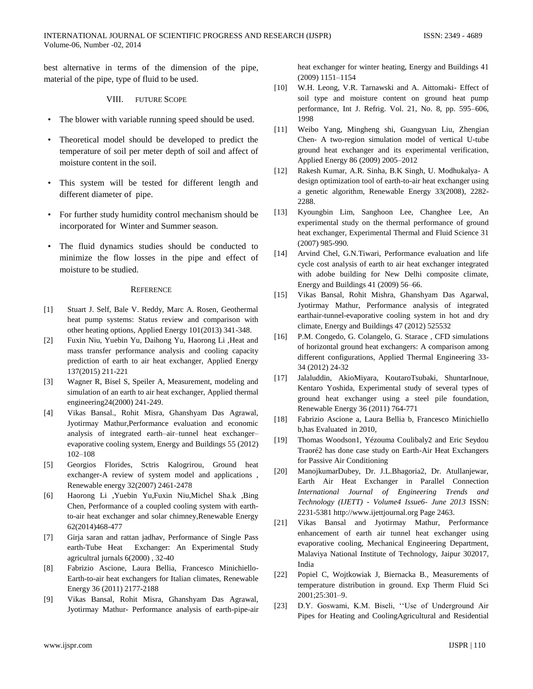best alternative in terms of the dimension of the pipe, material of the pipe, type of fluid to be used.

## VIII. FUTURE SCOPE

- The blower with variable running speed should be used.
- Theoretical model should be developed to predict the temperature of soil per meter depth of soil and affect of moisture content in the soil.
- This system will be tested for different length and different diameter of pipe.
- For further study humidity control mechanism should be incorporated for Winter and Summer season.
- The fluid dynamics studies should be conducted to minimize the flow losses in the pipe and effect of moisture to be studied.

#### **REFERENCE**

- [1] Stuart J. Self, Bale V. Reddy, Marc A. Rosen, Geothermal heat pump systems: Status review and comparison with other heating options, Applied Energy 101(2013) 341-348.
- [2] Fuxin Niu, Yuebin Yu, Daihong Yu, Haorong Li ,Heat and mass transfer performance analysis and cooling capacity prediction of earth to air heat exchanger, Applied Energy 137(2015) 211-221
- [3] Wagner R, Bisel S, Speiler A, Measurement, modeling and simulation of an earth to air heat exchanger, Applied thermal engineering24(2000) 241-249.
- [4] Vikas Bansal., Rohit Misra, Ghanshyam Das Agrawal, Jyotirmay Mathur,Performance evaluation and economic analysis of integrated earth–air–tunnel heat exchanger– evaporative cooling system, Energy and Buildings 55 (2012) 102–108
- [5] Georgios Florides, Sctris Kalogrirou, Ground heat exchanger-A review of system model and applications , Renewable energy 32(2007) 2461-2478
- [6] Haorong Li ,Yuebin Yu,Fuxin Niu,Michel Sha.k ,Bing Chen, Performance of a coupled cooling system with earthto-air heat exchanger and solar chimney,Renewable Energy 62(2014)468-477
- [7] Girja saran and rattan jadhav, Performance of Single Pass earth-Tube Heat Exchanger: An Experimental Study agricultral jurnals 6(2000) , 32-40
- [8] Fabrizio Ascione, Laura Bellia, Francesco Minichiello-Earth-to-air heat exchangers for Italian climates, Renewable Energy 36 (2011) 2177-2188
- [9] Vikas Bansal, Rohit Misra, Ghanshyam Das Agrawal, Jyotirmay Mathur- Performance analysis of earth-pipe-air

heat exchanger for winter heating, Energy and Buildings 41 (2009) 1151–1154

- [10] W.H. Leong, V.R. Tarnawski and A. Aittomaki- Effect of soil type and moisture content on ground heat pump performance, Int J. Refrig. Vol. 21, No. 8, pp. 595–606, 1998
- [11] Weibo Yang, Mingheng shi, Guangyuan Liu, Zhengian Chen- A two-region simulation model of vertical U-tube ground heat exchanger and its experimental verification, Applied Energy 86 (2009) 2005–2012
- [12] Rakesh Kumar, A.R. Sinha, B.K Singh, U. Modhukalya- A design optimization tool of earth-to-air heat exchanger using a genetic algorithm, Renewable Energy 33(2008), 2282- 2288.
- [13] Kyoungbin Lim, Sanghoon Lee, Changhee Lee, An experimental study on the thermal performance of ground heat exchanger, Experimental Thermal and Fluid Science 31 (2007) 985-990.
- [14] Arvind Chel, G.N.Tiwari, Performance evaluation and life cycle cost analysis of earth to air heat exchanger integrated with adobe building for New Delhi composite climate, Energy and Buildings 41 (2009) 56–66.
- [15] Vikas Bansal, Rohit Mishra, Ghanshyam Das Agarwal, Jyotirmay Mathur, Performance analysis of integrated earthair-tunnel-evaporative cooling system in hot and dry climate, Energy and Buildings 47 (2012) 525532
- [16] P.M. Congedo, G. Colangelo, G. Starace, CFD simulations of horizontal ground heat exchangers: A comparison among different configurations, Applied Thermal Engineering 33- 34 (2012) 24-32
- [17] Jalaluddin, AkioMiyara, KoutaroTsubaki, ShuntarInoue, Kentaro Yoshida, Experimental study of several types of ground heat exchanger using a steel pile foundation, Renewable Energy 36 (2011) 764-771
- [18] Fabrizio Ascione a, Laura Bellia b, Francesco Minichiello b,has Evaluated in 2010,
- [19] Thomas Woodson1, Yézouma Coulibaly2 and Eric Seydou Traoré2 has done case study on Earth-Air Heat Exchangers for Passive Air Conditioning
- [20] ManojkumarDubey, Dr. J.L.Bhagoria2, Dr. Atullanjewar, Earth Air Heat Exchanger in Parallel Connection *International Journal of Engineering Trends and Technology (IJETT) - Volume4 Issue6- June 2013* ISSN: 2231-5381 http://www.ijettjournal.org Page 2463.
- [21] Vikas Bansal and Jyotirmay Mathur, Performance enhancement of earth air tunnel heat exchanger using evaporative cooling, Mechanical Engineering Department, Malaviya National Institute of Technology, Jaipur 302017, India
- [22] Popiel C, Wojtkowiak J, Biernacka B., Measurements of temperature distribution in ground. Exp Therm Fluid Sci 2001;25:301–9.
- [23] D.Y. Goswami, K.M. Biseli, ''Use of Underground Air Pipes for Heating and CoolingAgricultural and Residential